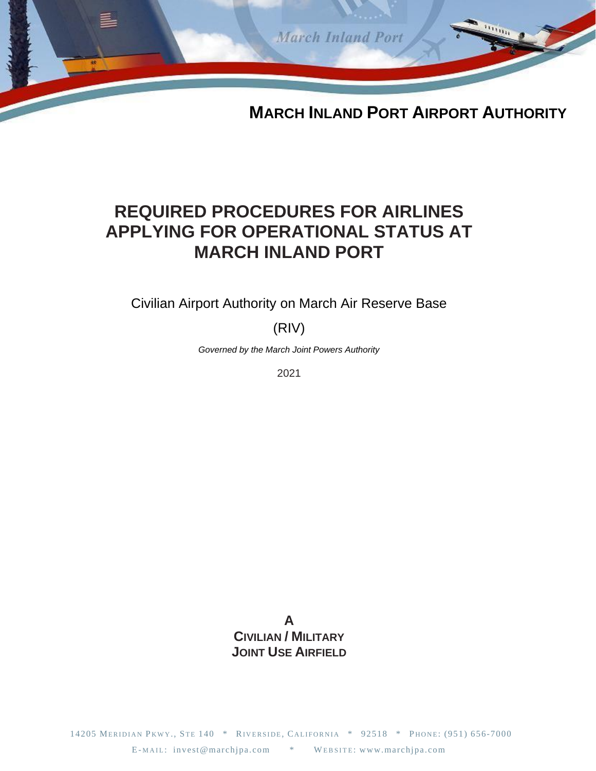

# **REQUIRED PROCEDURES FOR AIRLINES APPLYING FOR OPERATIONAL STATUS AT MARCH INLAND PORT**

Civilian Airport Authority on March Air Reserve Base

(RIV)

*Governed by the March Joint Powers Authority*

2021

**A CIVILIAN / MILITARY JOINT USE AIRFIELD**

14205 MERIDIAN PKWY., STE 140 \* RIVERSIDE, CALIFORNIA \* 92518 \* PHONE: (951) 656-7000 E-MAIL: invest@marchjpa.com \* WEBSITE: www.marchjpa.com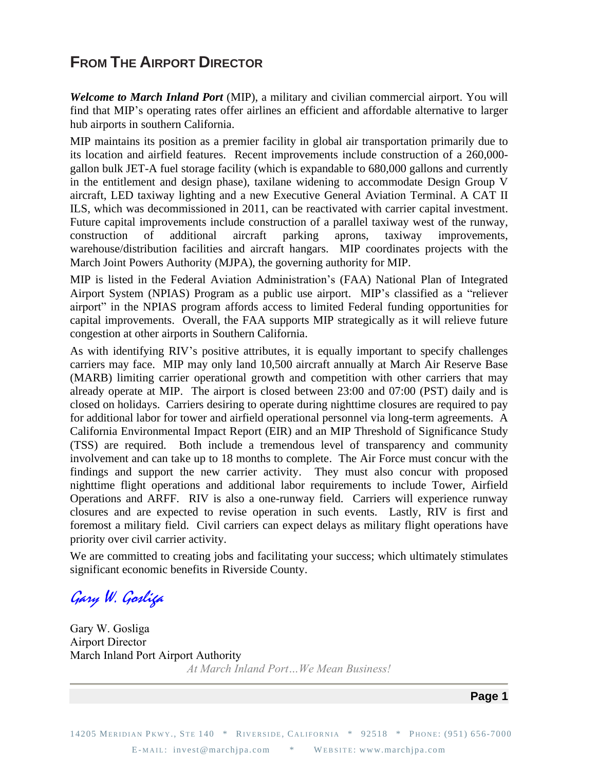# **FROM THE AIRPORT DIRECTOR**

*Welcome to March Inland Port* (MIP), a military and civilian commercial airport. You will find that MIP's operating rates offer airlines an efficient and affordable alternative to larger hub airports in southern California.

MIP maintains its position as a premier facility in global air transportation primarily due to its location and airfield features. Recent improvements include construction of a 260,000 gallon bulk JET-A fuel storage facility (which is expandable to 680,000 gallons and currently in the entitlement and design phase), taxilane widening to accommodate Design Group V aircraft, LED taxiway lighting and a new Executive General Aviation Terminal. A CAT II ILS, which was decommissioned in 2011, can be reactivated with carrier capital investment. Future capital improvements include construction of a parallel taxiway west of the runway, construction of additional aircraft parking aprons, taxiway improvements, warehouse/distribution facilities and aircraft hangars. MIP coordinates projects with the March Joint Powers Authority (MJPA), the governing authority for MIP.

MIP is listed in the Federal Aviation Administration's (FAA) National Plan of Integrated Airport System (NPIAS) Program as a public use airport. MIP's classified as a "reliever airport" in the NPIAS program affords access to limited Federal funding opportunities for capital improvements. Overall, the FAA supports MIP strategically as it will relieve future congestion at other airports in Southern California.

As with identifying RIV's positive attributes, it is equally important to specify challenges carriers may face. MIP may only land 10,500 aircraft annually at March Air Reserve Base (MARB) limiting carrier operational growth and competition with other carriers that may already operate at MIP. The airport is closed between 23:00 and 07:00 (PST) daily and is closed on holidays. Carriers desiring to operate during nighttime closures are required to pay for additional labor for tower and airfield operational personnel via long-term agreements. A California Environmental Impact Report (EIR) and an MIP Threshold of Significance Study (TSS) are required. Both include a tremendous level of transparency and community involvement and can take up to 18 months to complete. The Air Force must concur with the findings and support the new carrier activity. They must also concur with proposed nighttime flight operations and additional labor requirements to include Tower, Airfield Operations and ARFF. RIV is also a one-runway field. Carriers will experience runway closures and are expected to revise operation in such events. Lastly, RIV is first and foremost a military field. Civil carriers can expect delays as military flight operations have priority over civil carrier activity.

We are committed to creating jobs and facilitating your success; which ultimately stimulates significant economic benefits in Riverside County.

Gary W. Gosliga

Gary W. Gosliga Airport Director March Inland Port Airport Authority *At March Inland Port…We Mean Business!*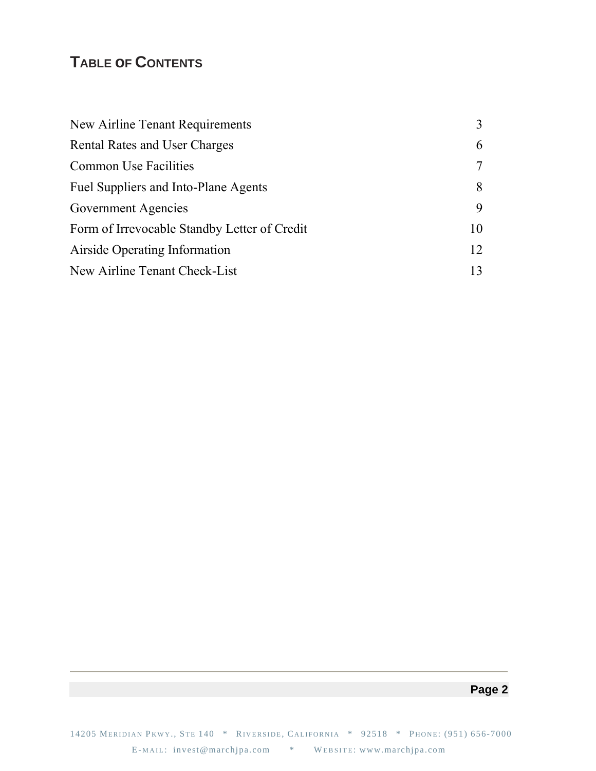# **TABLE oF CONTENTS**

| New Airline Tenant Requirements              | 3      |
|----------------------------------------------|--------|
| <b>Rental Rates and User Charges</b>         | 6      |
| <b>Common Use Facilities</b>                 | $\tau$ |
| Fuel Suppliers and Into-Plane Agents         | 8      |
| Government Agencies                          | 9      |
| Form of Irrevocable Standby Letter of Credit | 10     |
| Airside Operating Information                | 12     |
| New Airline Tenant Check-List                | 13     |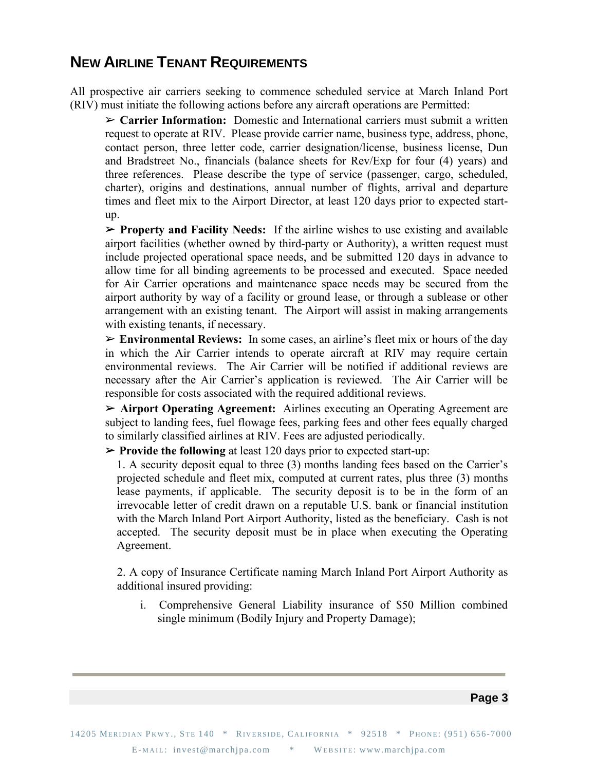## **NEW AIRLINE TENANT REQUIREMENTS**

All prospective air carriers seeking to commence scheduled service at March Inland Port (RIV) must initiate the following actions before any aircraft operations are Permitted:

➢ **Carrier Information:** Domestic and International carriers must submit a written request to operate at RIV. Please provide carrier name, business type, address, phone, contact person, three letter code, carrier designation/license, business license, Dun and Bradstreet No., financials (balance sheets for Rev/Exp for four (4) years) and three references. Please describe the type of service (passenger, cargo, scheduled, charter), origins and destinations, annual number of flights, arrival and departure times and fleet mix to the Airport Director, at least 120 days prior to expected startup.

➢ **Property and Facility Needs:** If the airline wishes to use existing and available airport facilities (whether owned by third-party or Authority), a written request must include projected operational space needs, and be submitted 120 days in advance to allow time for all binding agreements to be processed and executed. Space needed for Air Carrier operations and maintenance space needs may be secured from the airport authority by way of a facility or ground lease, or through a sublease or other arrangement with an existing tenant. The Airport will assist in making arrangements with existing tenants, if necessary.

➢ **Environmental Reviews:** In some cases, an airline's fleet mix or hours of the day in which the Air Carrier intends to operate aircraft at RIV may require certain environmental reviews. The Air Carrier will be notified if additional reviews are necessary after the Air Carrier's application is reviewed. The Air Carrier will be responsible for costs associated with the required additional reviews.

➢ **Airport Operating Agreement:** Airlines executing an Operating Agreement are subject to landing fees, fuel flowage fees, parking fees and other fees equally charged to similarly classified airlines at RIV. Fees are adjusted periodically.

➢ **Provide the following** at least 120 days prior to expected start-up:

1. A security deposit equal to three (3) months landing fees based on the Carrier's projected schedule and fleet mix, computed at current rates, plus three (3) months lease payments, if applicable. The security deposit is to be in the form of an irrevocable letter of credit drawn on a reputable U.S. bank or financial institution with the March Inland Port Airport Authority, listed as the beneficiary. Cash is not accepted. The security deposit must be in place when executing the Operating Agreement.

2. A copy of Insurance Certificate naming March Inland Port Airport Authority as additional insured providing:

i. Comprehensive General Liability insurance of \$50 Million combined single minimum (Bodily Injury and Property Damage);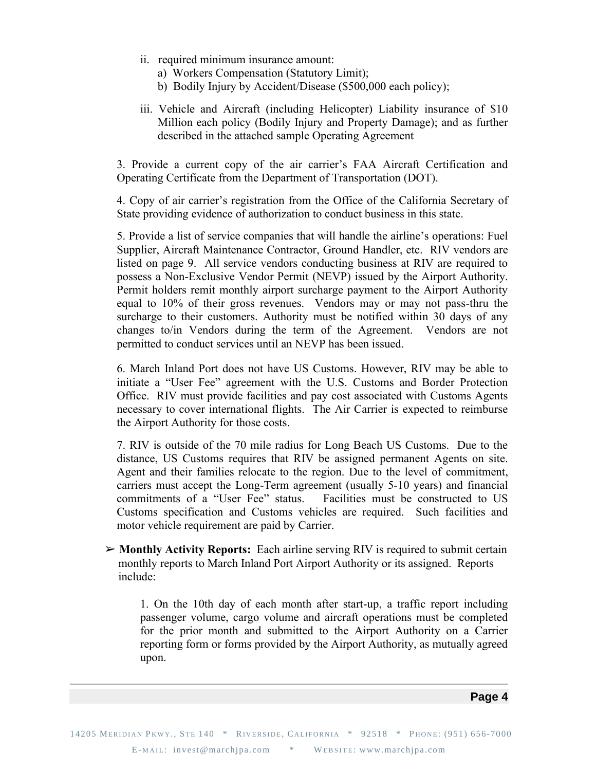- ii. required minimum insurance amount:
	- a) Workers Compensation (Statutory Limit);
	- b) Bodily Injury by Accident/Disease (\$500,000 each policy);
- iii. Vehicle and Aircraft (including Helicopter) Liability insurance of \$10 Million each policy (Bodily Injury and Property Damage); and as further described in the attached sample Operating Agreement

3. Provide a current copy of the air carrier's FAA Aircraft Certification and Operating Certificate from the Department of Transportation (DOT).

4. Copy of air carrier's registration from the Office of the California Secretary of State providing evidence of authorization to conduct business in this state.

5. Provide a list of service companies that will handle the airline's operations: Fuel Supplier, Aircraft Maintenance Contractor, Ground Handler, etc. RIV vendors are listed on page 9. All service vendors conducting business at RIV are required to possess a Non-Exclusive Vendor Permit (NEVP) issued by the Airport Authority. Permit holders remit monthly airport surcharge payment to the Airport Authority equal to 10% of their gross revenues. Vendors may or may not pass-thru the surcharge to their customers. Authority must be notified within 30 days of any changes to/in Vendors during the term of the Agreement. Vendors are not permitted to conduct services until an NEVP has been issued.

6. March Inland Port does not have US Customs. However, RIV may be able to initiate a "User Fee" agreement with the U.S. Customs and Border Protection Office. RIV must provide facilities and pay cost associated with Customs Agents necessary to cover international flights. The Air Carrier is expected to reimburse the Airport Authority for those costs.

7. RIV is outside of the 70 mile radius for Long Beach US Customs. Due to the distance, US Customs requires that RIV be assigned permanent Agents on site. Agent and their families relocate to the region. Due to the level of commitment, carriers must accept the Long-Term agreement (usually 5-10 years) and financial commitments of a "User Fee" status. Facilities must be constructed to US Customs specification and Customs vehicles are required. Such facilities and motor vehicle requirement are paid by Carrier.

➢ **Monthly Activity Reports:** Each airline serving RIV is required to submit certain monthly reports to March Inland Port Airport Authority or its assigned. Reports include:

1. On the 10th day of each month after start-up, a traffic report including passenger volume, cargo volume and aircraft operations must be completed for the prior month and submitted to the Airport Authority on a Carrier reporting form or forms provided by the Airport Authority, as mutually agreed upon.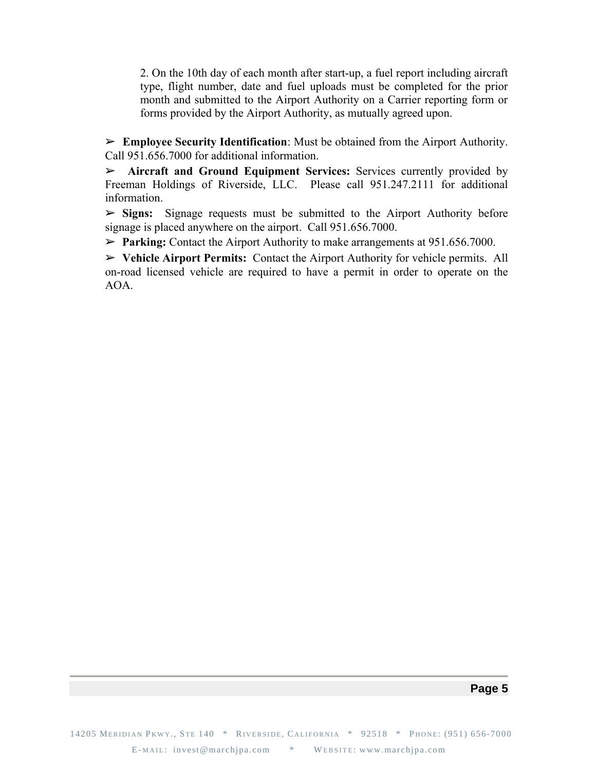2. On the 10th day of each month after start-up, a fuel report including aircraft type, flight number, date and fuel uploads must be completed for the prior month and submitted to the Airport Authority on a Carrier reporting form or forms provided by the Airport Authority, as mutually agreed upon.

➢ **Employee Security Identification**: Must be obtained from the Airport Authority. Call 951.656.7000 for additional information.

➢ **Aircraft and Ground Equipment Services:** Services currently provided by Freeman Holdings of Riverside, LLC. Please call 951.247.2111 for additional information.

➢ **Signs:** Signage requests must be submitted to the Airport Authority before signage is placed anywhere on the airport. Call 951.656.7000.

➢ **Parking:** Contact the Airport Authority to make arrangements at 951.656.7000.

➢ **Vehicle Airport Permits:** Contact the Airport Authority for vehicle permits. All on-road licensed vehicle are required to have a permit in order to operate on the AOA.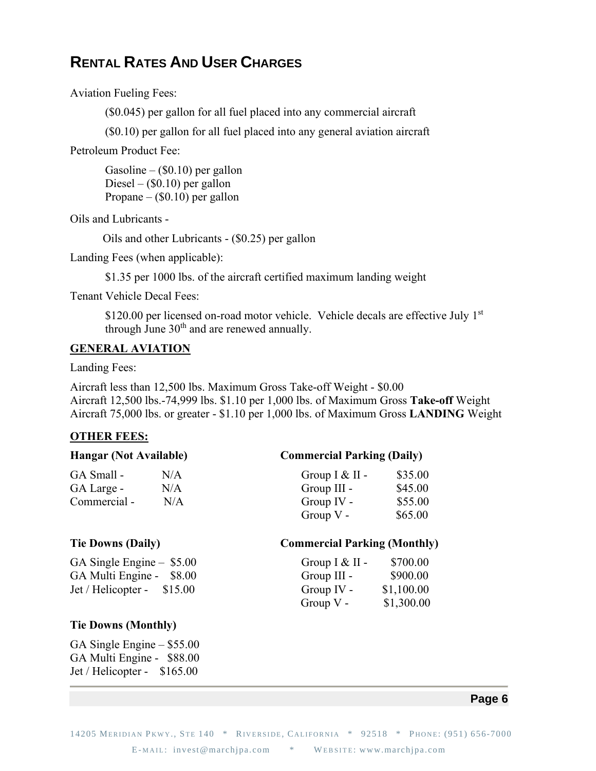# **RENTAL RATES AND USER CHARGES**

Aviation Fueling Fees:

(\$0.045) per gallon for all fuel placed into any commercial aircraft

(\$0.10) per gallon for all fuel placed into any general aviation aircraft

Petroleum Product Fee:

Gasoline –  $(\$0.10)$  per gallon Diesel –  $(\$0.10)$  per gallon Propane –  $(\$0.10)$  per gallon

Oils and Lubricants -

Oils and other Lubricants - (\$0.25) per gallon

Landing Fees (when applicable):

\$1.35 per 1000 lbs. of the aircraft certified maximum landing weight

Tenant Vehicle Decal Fees:

\$120.00 per licensed on-road motor vehicle. Vehicle decals are effective July 1st through June  $30<sup>th</sup>$  and are renewed annually.

### **GENERAL AVIATION**

Landing Fees:

Aircraft less than 12,500 lbs. Maximum Gross Take-off Weight - \$0.00 Aircraft 12,500 lbs.-74,999 lbs. \$1.10 per 1,000 lbs. of Maximum Gross **Take-off** Weight Aircraft 75,000 lbs. or greater - \$1.10 per 1,000 lbs. of Maximum Gross **LANDING** Weight

#### **OTHER FEES:**

| <b>Hangar (Not Available)</b> |     | <b>Commercial Parking (Daily)</b>   |          |
|-------------------------------|-----|-------------------------------------|----------|
| GA Small -                    | N/A | Group $I & II$ -                    | \$35.00  |
| GA Large -                    | N/A | Group III -                         | \$45.00  |
| Commercial -                  | N/A | Group IV -                          | \$55.00  |
|                               |     | Group $V -$                         | \$65.00  |
| <b>Tie Downs (Daily)</b>      |     | <b>Commercial Parking (Monthly)</b> |          |
| GA Single Engine $-$ \$5.00   |     | Group $I & II$ -                    | \$700.00 |

| GA Single Engine $-$ \$5.00              | Group $I & II -$ | \$700.00   |
|------------------------------------------|------------------|------------|
| GA Multi Engine - \$8.00                 | Group $III -$    | \$900.00   |
| $\text{Jet}/\text{Helicopter} - \$15.00$ | Group IV -       | \$1,100.00 |
|                                          | Group $V -$      | \$1,300.00 |

#### **Tie Downs (Monthly)**

GA Single Engine – \$55.00 GA Multi Engine - \$88.00 Jet / Helicopter - \$165.00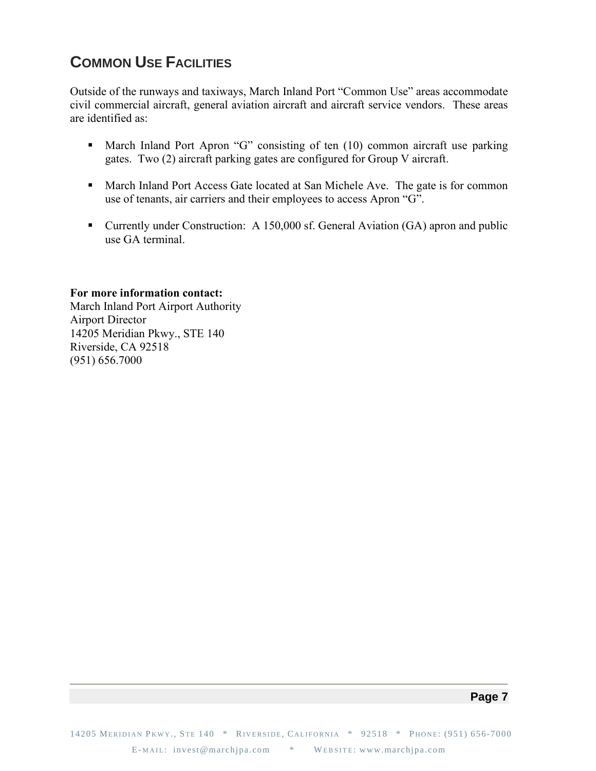# **COMMON USE FACILITIES**

Outside of the runways and taxiways, March Inland Port "Common Use" areas accommodate civil commercial aircraft, general aviation aircraft and aircraft service vendors. These areas are identified as:

- March Inland Port Apron "G" consisting of ten (10) common aircraft use parking gates. Two (2) aircraft parking gates are configured for Group V aircraft.
- March Inland Port Access Gate located at San Michele Ave. The gate is for common use of tenants, air carriers and their employees to access Apron "G".
- Currently under Construction: A 150,000 sf. General Aviation (GA) apron and public use GA terminal.

#### **For more information contact:**

March Inland Port Airport Authority Airport Director 14205 Meridian Pkwy., STE 140 Riverside, CA 92518 (951) 656.7000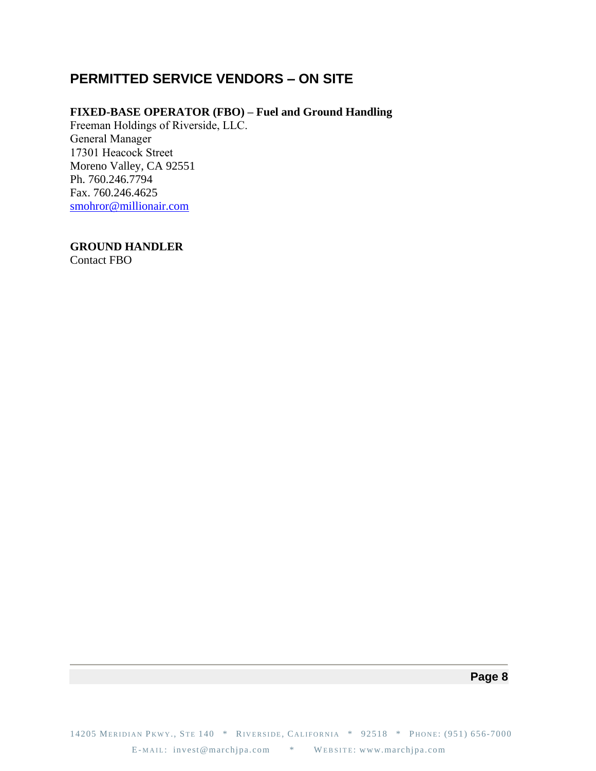### **PERMITTED SERVICE VENDORS – ON SITE**

### **FIXED-BASE OPERATOR (FBO) – Fuel and Ground Handling**

Freeman Holdings of Riverside, LLC. General Manager 17301 Heacock Street Moreno Valley, CA 92551 Ph. 760.246.7794 Fax. 760.246.4625 [smohror@millionair.com](mailto:smohror@millionair.com)

**GROUND HANDLER**

Contact FBO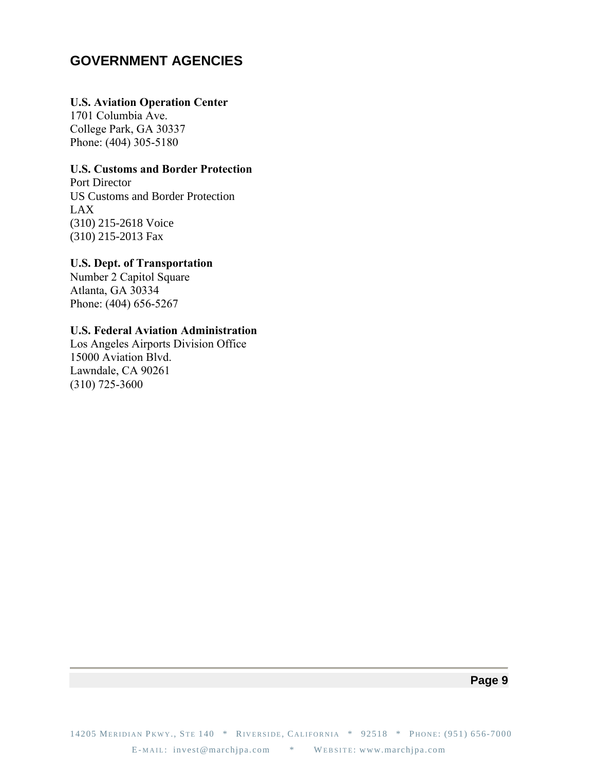### **GOVERNMENT AGENCIES**

### **U.S. Aviation Operation Center**

1701 Columbia Ave. College Park, GA 30337 Phone: (404) 305-5180

### **U.S. Customs and Border Protection**

Port Director US Customs and Border Protection LAX (310) 215-2618 Voice (310) 215-2013 Fax

### **U.S. Dept. of Transportation**

Number 2 Capitol Square Atlanta, GA 30334 Phone: (404) 656-5267

### **U.S. Federal Aviation Administration**

Los Angeles Airports Division Office 15000 Aviation Blvd. Lawndale, CA 90261 (310) 725-3600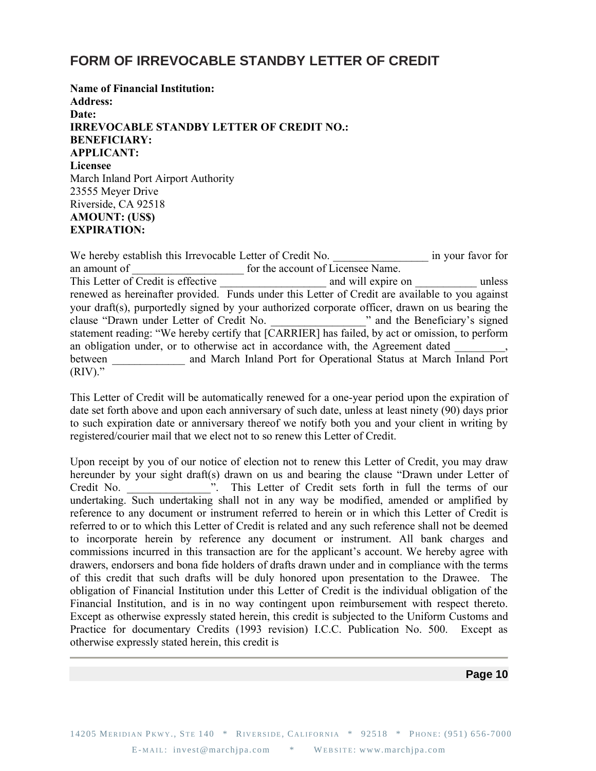### **FORM OF IRREVOCABLE STANDBY LETTER OF CREDIT**

**Name of Financial Institution: Address: Date: IRREVOCABLE STANDBY LETTER OF CREDIT NO.: BENEFICIARY: APPLICANT: Licensee** March Inland Port Airport Authority 23555 Meyer Drive Riverside, CA 92518 **AMOUNT: (US\$) EXPIRATION:**

We hereby establish this Irrevocable Letter of Credit No. \_\_\_\_\_\_\_\_\_\_\_\_\_\_\_\_\_\_\_\_\_\_ in your favor for an amount of **and a** for the account of Licensee Name. This Letter of Credit is effective \_\_\_\_\_\_\_\_\_\_\_\_\_\_\_\_\_\_\_\_\_\_\_ and will expire on \_\_\_\_\_\_\_\_\_\_\_\_\_\_ unless renewed as hereinafter provided. Funds under this Letter of Credit are available to you against your draft(s), purportedly signed by your authorized corporate officer, drawn on us bearing the clause "Drawn under Letter of Credit No. \_\_\_\_\_\_\_\_\_\_\_\_\_\_\_\_\_" and the Beneficiary's signed statement reading: "We hereby certify that [CARRIER] has failed, by act or omission, to perform an obligation under, or to otherwise act in accordance with, the Agreement dated between and March Inland Port for Operational Status at March Inland Port  $(RIV)$ ."

This Letter of Credit will be automatically renewed for a one-year period upon the expiration of date set forth above and upon each anniversary of such date, unless at least ninety (90) days prior to such expiration date or anniversary thereof we notify both you and your client in writing by registered/courier mail that we elect not to so renew this Letter of Credit.

Upon receipt by you of our notice of election not to renew this Letter of Credit, you may draw hereunder by your sight draft(s) drawn on us and bearing the clause "Drawn under Letter of Credit No. \_\_\_\_\_\_\_\_\_\_\_\_\_\_\_". This Letter of Credit sets forth in full the terms of our undertaking. Such undertaking shall not in any way be modified, amended or amplified by reference to any document or instrument referred to herein or in which this Letter of Credit is referred to or to which this Letter of Credit is related and any such reference shall not be deemed to incorporate herein by reference any document or instrument. All bank charges and commissions incurred in this transaction are for the applicant's account. We hereby agree with drawers, endorsers and bona fide holders of drafts drawn under and in compliance with the terms of this credit that such drafts will be duly honored upon presentation to the Drawee. The obligation of Financial Institution under this Letter of Credit is the individual obligation of the Financial Institution, and is in no way contingent upon reimbursement with respect thereto. Except as otherwise expressly stated herein, this credit is subjected to the Uniform Customs and Practice for documentary Credits (1993 revision) I.C.C. Publication No. 500. Except as otherwise expressly stated herein, this credit is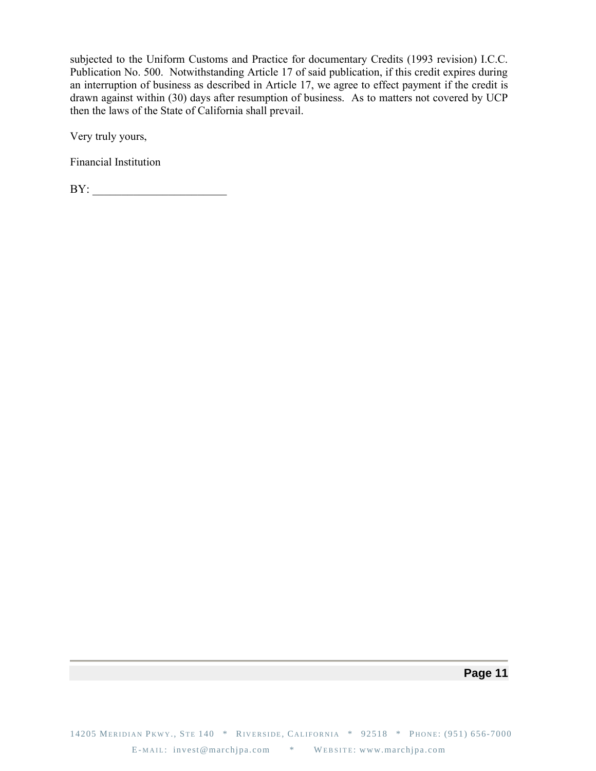subjected to the Uniform Customs and Practice for documentary Credits (1993 revision) I.C.C. Publication No. 500. Notwithstanding Article 17 of said publication, if this credit expires during an interruption of business as described in Article 17, we agree to effect payment if the credit is drawn against within (30) days after resumption of business. As to matters not covered by UCP then the laws of the State of California shall prevail.

Very truly yours,

Financial Institution

BY: \_\_\_\_\_\_\_\_\_\_\_\_\_\_\_\_\_\_\_\_\_\_\_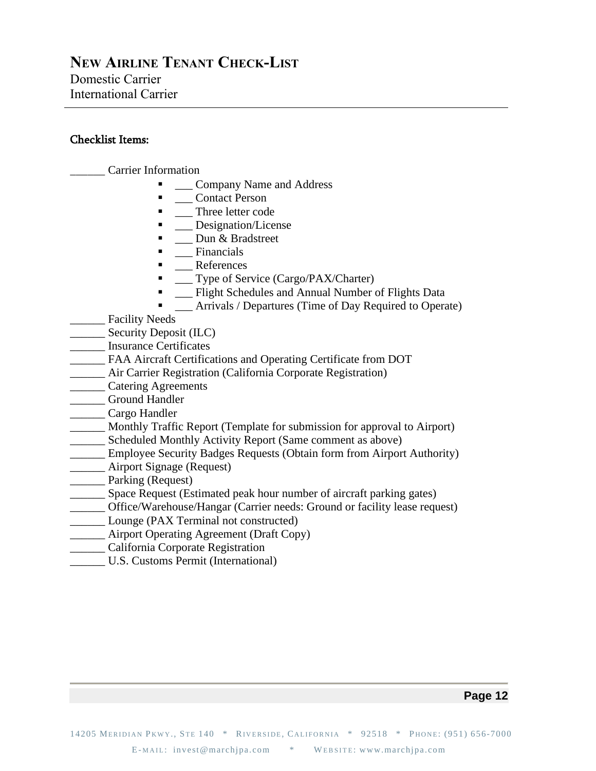### **NEW AIRLINE TENANT CHECK-LIST** Domestic Carrier International Carrier

### Checklist Items:

\_\_\_\_\_\_ Carrier Information

- **\_\_\_ Company Name and Address**
- **\_\_\_** Contact Person
- Three letter code
- \_\_ Designation/License
- **•** \_\_\_ Dun & Bradstreet
- **Exercise Financials**
- **\_\_** References
- **•** \_\_\_ Type of Service (Cargo/PAX/Charter)
- **EXECUTE:** Flight Schedules and Annual Number of Flights Data
- Arrivals / Departures (Time of Day Required to Operate)
- \_\_\_\_\_\_ Facility Needs
- \_\_\_\_\_\_ Security Deposit (ILC)
- \_\_\_\_\_\_ Insurance Certificates
- \_\_\_\_\_\_ FAA Aircraft Certifications and Operating Certificate from DOT
- \_\_\_\_\_\_ Air Carrier Registration (California Corporate Registration)
- \_\_\_\_\_\_ Catering Agreements
- \_\_\_\_\_\_ Ground Handler
- \_\_\_\_\_\_ Cargo Handler
- \_\_\_\_\_\_ Monthly Traffic Report (Template for submission for approval to Airport)
- \_\_\_\_\_\_ Scheduled Monthly Activity Report (Same comment as above)
- \_\_\_\_\_\_ Employee Security Badges Requests (Obtain form from Airport Authority)
- \_\_\_\_\_\_ Airport Signage (Request)
- **\_\_\_\_\_\_\_** Parking (Request)
- \_\_\_\_\_\_ Space Request (Estimated peak hour number of aircraft parking gates)
- \_\_\_\_\_\_ Office/Warehouse/Hangar (Carrier needs: Ground or facility lease request)
- Lounge (PAX Terminal not constructed)
- \_\_\_\_\_\_ Airport Operating Agreement (Draft Copy)
- \_\_\_\_\_\_ California Corporate Registration
- U.S. Customs Permit (International)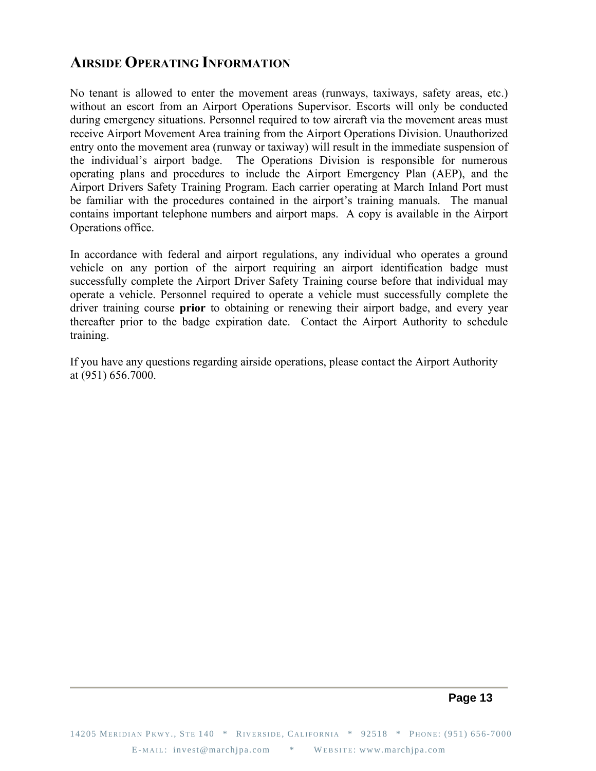## **AIRSIDE OPERATING INFORMATION**

No tenant is allowed to enter the movement areas (runways, taxiways, safety areas, etc.) without an escort from an Airport Operations Supervisor. Escorts will only be conducted during emergency situations. Personnel required to tow aircraft via the movement areas must receive Airport Movement Area training from the Airport Operations Division. Unauthorized entry onto the movement area (runway or taxiway) will result in the immediate suspension of the individual's airport badge. The Operations Division is responsible for numerous operating plans and procedures to include the Airport Emergency Plan (AEP), and the Airport Drivers Safety Training Program. Each carrier operating at March Inland Port must be familiar with the procedures contained in the airport's training manuals. The manual contains important telephone numbers and airport maps. A copy is available in the Airport Operations office.

In accordance with federal and airport regulations, any individual who operates a ground vehicle on any portion of the airport requiring an airport identification badge must successfully complete the Airport Driver Safety Training course before that individual may operate a vehicle. Personnel required to operate a vehicle must successfully complete the driver training course **prior** to obtaining or renewing their airport badge, and every year thereafter prior to the badge expiration date. Contact the Airport Authority to schedule training.

If you have any questions regarding airside operations, please contact the Airport Authority at (951) 656.7000.